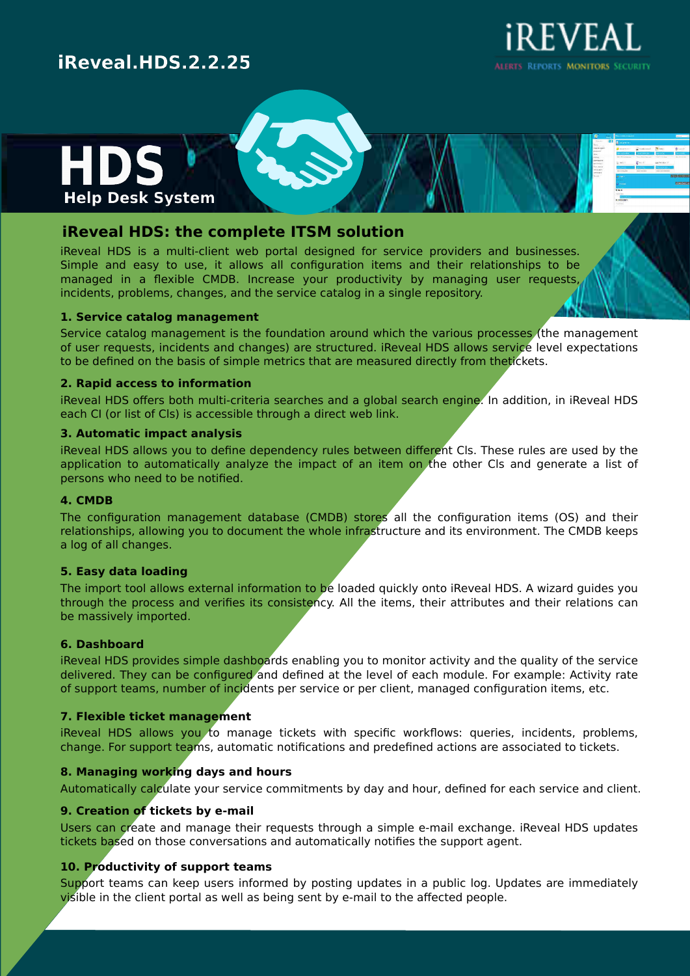# iREVEAL

ALERTS REPORTS MONITORS SECURITY

### iReveal.HDS.2.2.25



#### **iReveal HDS: the complete ITSM solution**

iReveal HDS is a multi-client web portal designed for service providers and businesses. Simple and easy to use, it allows all configuration items and their relationships to be managed in a flexible CMDB. Increase your productivity by managing user requests, incidents, problems, changes, and the service catalog in a single repository.

#### **1. Service catalog management**

Service catalog management is the foundation around which the various processes (the management of user requests, incidents and changes) are structured. iReveal HDS allows service level expectations to be defined on the basis of simple metrics that are measured directly from thetickets.

#### **2. Rapid access to information**

iReveal HDS offers both multi-criteria searches and a global search engine. In addition, in iReveal HDS each CI (or list of Cls) is accessible through a direct web link.

#### **3. Automatic impact analysis**

iReveal HDS allows you to define dependency rules between different Cls. These rules are used by the application to automatically analyze the impact of an item on the other Cls and generate a list of persons who need to be notified.

#### **4. CMDB**

Users can create and manage their requests through a simple e-mail exchange. iReveal HDS updates tickets based on those conversations and automatically notifies the support agent.

The configuration management database (CMDB) stores all the configuration items (OS) and their relationships, allowing you to document the whole infrastructure and its environment. The CMDB keeps a log of all changes.

#### **5. Easy data loading**

The import tool allows external information to be loaded quickly onto iReveal HDS. A wizard guides you through the process and verifies its consistency. All the items, their attributes and their relations can be massively imported.

#### **6. Dashboard**

iReveal HDS provides simple dashboards enabling you to monitor activity and the quality of the service

delivered. They can be configured and defined at the level of each module. For example: Activity rate of support teams, number of incidents per service or per client, managed configuration items, etc.

#### **7. Flexible ticket management**

iReveal HDS allows you to manage tickets with specific workflows: queries, incidents, problems, change. For support teams, automatic notifications and predefined actions are associated to tickets.

#### **8. Managing working days and hours**

Automatically calculate your service commitments by day and hour, defined for each service and client.

#### **9. Creation of tickets by e-mail**

#### **10. Productivity of support teams**

Support teams can keep users informed by posting updates in a public log. Updates are immediately visible in the client portal as well as being sent by e-mail to the affected people.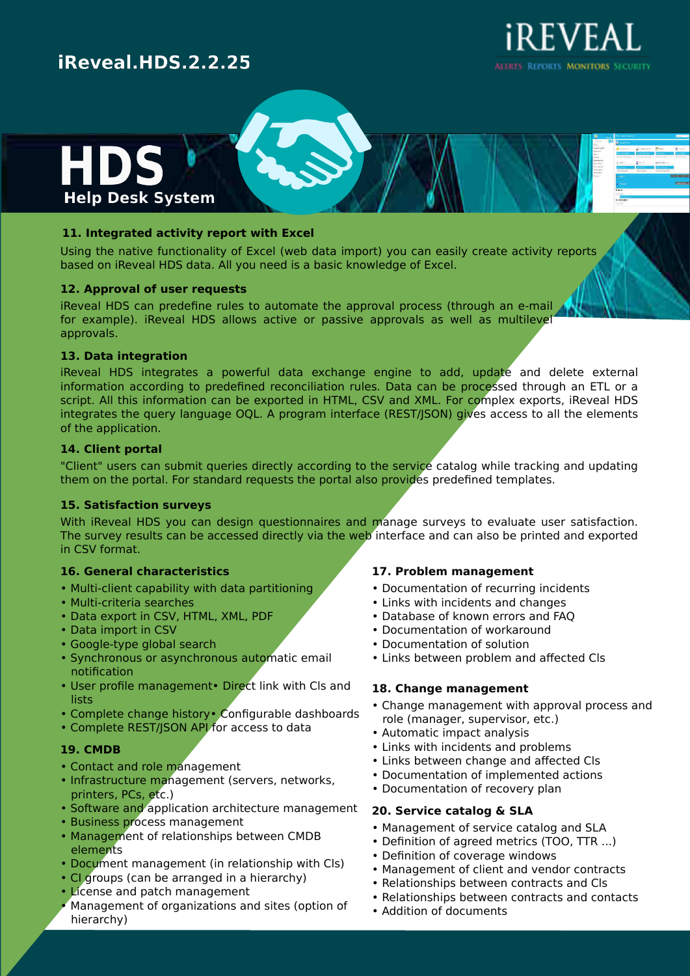# iREVEAL

ALERTS REPORTS MONITORS SECURITY

### iReveal.HDS.2.2.25



#### **11. Integrated activity report with Excel**

Using the native functionality of Excel (web data import) you can easily create activity reports based on iReveal HDS data. All you need is a basic knowledge of Excel.

#### **12. Approval of user requests**

iReveal HDS can predefine rules to automate the approval process (through an e-mail for example). iReveal HDS allows active or passive approvals as well as multilevel approvals.

#### **13. Data integration**

iReveal HDS integrates a powerful data exchange engine to add, update and delete external information according to predefined reconciliation rules. Data can be processed through an ETL or a script. All this information can be exported in HTML, CSV and XML. For complex exports, iReveal HDS integrates the query language OQL. A program interface (REST/JSON) gives access to all the elements of the application.

#### **14. Client portal**

"Client" users can submit queries directly according to the service catalog while tracking and updating them on the portal. For standard requests the portal also provides predefined templates.

#### **15. Satisfaction surveys**

With iReveal HDS you can design questionnaires and manage surveys to evaluate user satisfaction. The survey results can be accessed directly via the web interface and can also be printed and exported in CSV format.

#### **16. General characteristics**

- Multi-client capability with data partitioning
- Multi-criteria searches
- Data export in CSV, HTML, XML, PDF
- Data import in CSV
- Google-type global search
- Synchronous or asynchronous automatic email notification • User profile management• Direct link with Cls and lists • Complete change history • Configurable dashboards • Complete REST/JSON API for access to data

#### **17. Problem management**

- Documentation of recurring incidents
- Links with incidents and changes
- Database of known errors and FAQ
- Documentation of workaround
- Documentation of solution
- Links between problem and affected Cls

#### **18. Change management**

- Change management with approval process and role (manager, supervisor, etc.)
- Automatic impact analysis
- Links with incidents and problems
- Links between change and affected Cls
- Documentation of implemented actions
- Documentation of recovery plan

#### **19. CMDB**

- Contact and role management
- Infrastructure management (servers, networks, printers, PCs, etc.)
- Software and application architecture management
- Business process management
- Management of relationships between CMDB elements
- Document management (in relationship with Cls)
- CI groups (can be arranged in a hierarchy)
- License and patch management
- Management of organizations and sites (option of hierarchy)

#### **20. Service catalog & SLA**

- Management of service catalog and SLA
- Definition of agreed metrics (TOO, TTR ...)
- Definition of coverage windows
- Management of client and vendor contracts
- Relationships between contracts and Cls
- Relationships between contracts and contacts
- Addition of documents